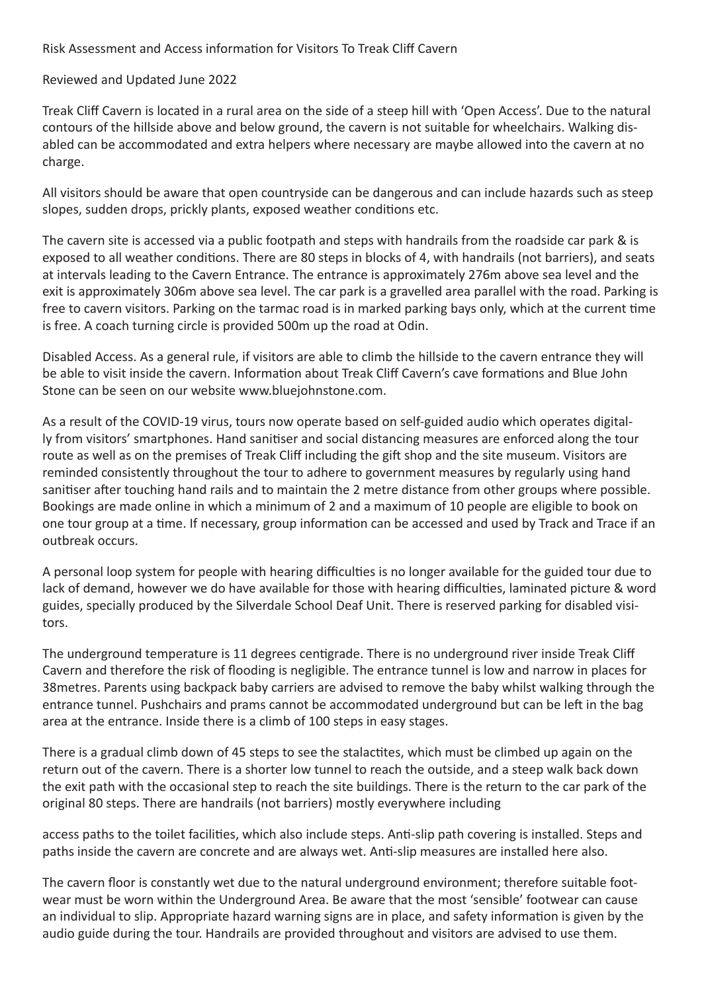Risk Assessment and Access information for Visitors To Treak Cliff Cavern

Reviewed and Updated June 2022

Treak Cliff Cavern is located in a rural area on the side of a steep hill with 'Open Access'. Due to the natural contours of the hillside above and below ground, the cavern is not suitable for wheelchairs. Walking disabled can be accommodated and extra helpers where necessary are maybe allowed into the cavern at no charge.

All visitors should be aware that open countryside can be dangerous and can include hazards such as steep slopes, sudden drops, prickly plants, exposed weather conditions etc.

The cavern site is accessed via a public footpath and steps with handrails from the roadside car park & is exposed to all weather conditions. There are 80 steps in blocks of 4, with handrails (not barriers), and seats at intervals leading to the Cavern Entrance. The entrance is approximately 276m above sea level and the exit is approximately 306m above sea level. The car park is a gravelled area parallel with the road. Parking is free to cavern visitors. Parking on the tarmac road is in marked parking bays only, which at the current time is free. A coach turning circle is provided 500m up the road at Odin.

Disabled Access. As a general rule, if visitors are able to climb the hillside to the cavern entrance they will be able to visit inside the cavern. Information about Treak Cliff Cavern's cave formations and Blue John Stone can be seen on our website www.bluejohnstone.com.

As a result of the COVID-19 virus, tours now operate based on self-guided audio which operates digitally from visitors' smartphones. Hand sanitiser and social distancing measures are enforced along the tour route as well as on the premises of Treak Cliff including the gift shop and the site museum. Visitors are reminded consistently throughout the tour to adhere to government measures by regularly using hand sanitiser after touching hand rails and to maintain the 2 metre distance from other groups where possible. Bookings are made online in which a minimum of 2 and a maximum of 10 people are eligible to book on one tour group at a time. If necessary, group information can be accessed and used by Track and Trace if an outbreak occurs.

A personal loop system for people with hearing difficulties is no longer available for the guided tour due to lack of demand, however we do have available for those with hearing difficulties, laminated picture & word guides, specially produced by the Silverdale School Deaf Unit. There is reserved parking for disabled visitors.

The underground temperature is 11 degrees centigrade. There is no underground river inside Treak Cliff Cavern and therefore the risk of flooding is negligible. The entrance tunnel is low and narrow in places for 38metres. Parents using backpack baby carriers are advised to remove the baby whilst walking through the entrance tunnel. Pushchairs and prams cannot be accommodated underground but can be left in the bag area at the entrance. Inside there is a climb of 100 steps in easy stages.

There is a gradual climb down of 45 steps to see the stalactites, which must be climbed up again on the return out of the cavern. There is a shorter low tunnel to reach the outside, and a steep walk back down the exit path with the occasional step to reach the site buildings. There is the return to the car park of the original 80 steps. There are handrails (not barriers) mostly everywhere including

access paths to the toilet facilities, which also include steps. Anti-slip path covering is installed. Steps and paths inside the cavern are concrete and are always wet. Anti-slip measures are installed here also.

The cavern floor is constantly wet due to the natural underground environment; therefore suitable footwear must be worn within the Underground Area. Be aware that the most 'sensible' footwear can cause an individual to slip. Appropriate hazard warning signs are in place, and safety information is given by the audio guide during the tour. Handrails are provided throughout and visitors are advised to use them.